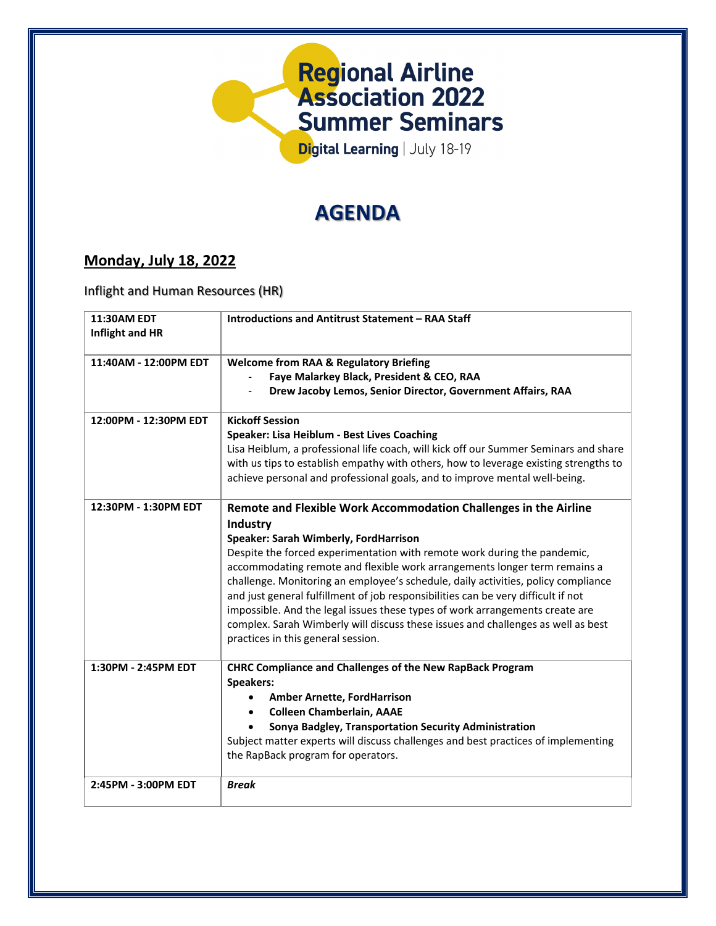

# **AGENDA**

## **Monday, July 18, 2022**

Inflight and Human Resources (HR)

| <b>11:30AM EDT</b><br>Inflight and HR | <b>Introductions and Antitrust Statement - RAA Staff</b>                                                                                                                                                                                                                                                                                                                                                                                                                                                                                                                                                                                                           |
|---------------------------------------|--------------------------------------------------------------------------------------------------------------------------------------------------------------------------------------------------------------------------------------------------------------------------------------------------------------------------------------------------------------------------------------------------------------------------------------------------------------------------------------------------------------------------------------------------------------------------------------------------------------------------------------------------------------------|
| 11:40AM - 12:00PM EDT                 | <b>Welcome from RAA &amp; Regulatory Briefing</b><br>Faye Malarkey Black, President & CEO, RAA<br>Drew Jacoby Lemos, Senior Director, Government Affairs, RAA                                                                                                                                                                                                                                                                                                                                                                                                                                                                                                      |
| 12:00PM - 12:30PM EDT                 | <b>Kickoff Session</b><br>Speaker: Lisa Heiblum - Best Lives Coaching<br>Lisa Heiblum, a professional life coach, will kick off our Summer Seminars and share<br>with us tips to establish empathy with others, how to leverage existing strengths to<br>achieve personal and professional goals, and to improve mental well-being.                                                                                                                                                                                                                                                                                                                                |
| 12:30PM - 1:30PM EDT                  | Remote and Flexible Work Accommodation Challenges in the Airline<br>Industry<br>Speaker: Sarah Wimberly, FordHarrison<br>Despite the forced experimentation with remote work during the pandemic,<br>accommodating remote and flexible work arrangements longer term remains a<br>challenge. Monitoring an employee's schedule, daily activities, policy compliance<br>and just general fulfillment of job responsibilities can be very difficult if not<br>impossible. And the legal issues these types of work arrangements create are<br>complex. Sarah Wimberly will discuss these issues and challenges as well as best<br>practices in this general session. |
| 1:30PM - 2:45PM EDT                   | <b>CHRC Compliance and Challenges of the New RapBack Program</b><br>Speakers:<br><b>Amber Arnette, FordHarrison</b><br><b>Colleen Chamberlain, AAAE</b><br>Sonya Badgley, Transportation Security Administration<br>Subject matter experts will discuss challenges and best practices of implementing<br>the RapBack program for operators.                                                                                                                                                                                                                                                                                                                        |
| 2:45PM - 3:00PM EDT                   | <b>Break</b>                                                                                                                                                                                                                                                                                                                                                                                                                                                                                                                                                                                                                                                       |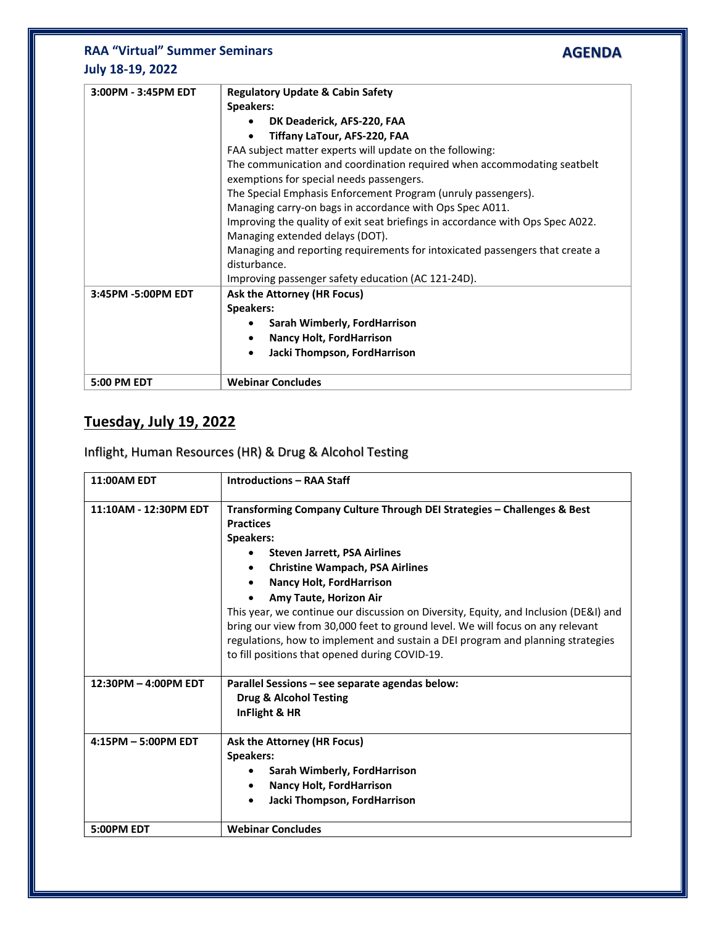### **RAA "Virtual" Summer Seminars July 18-19, 2022**

| 3:00PM - 3:45PM EDT | <b>Regulatory Update &amp; Cabin Safety</b>                                    |
|---------------------|--------------------------------------------------------------------------------|
|                     | Speakers:                                                                      |
|                     | DK Deaderick, AFS-220, FAA                                                     |
|                     | Tiffany LaTour, AFS-220, FAA                                                   |
|                     | FAA subject matter experts will update on the following:                       |
|                     | The communication and coordination required when accommodating seatbelt        |
|                     | exemptions for special needs passengers.                                       |
|                     | The Special Emphasis Enforcement Program (unruly passengers).                  |
|                     | Managing carry-on bags in accordance with Ops Spec A011.                       |
|                     | Improving the quality of exit seat briefings in accordance with Ops Spec A022. |
|                     | Managing extended delays (DOT).                                                |
|                     | Managing and reporting requirements for intoxicated passengers that create a   |
|                     | disturbance.                                                                   |
|                     | Improving passenger safety education (AC 121-24D).                             |
| 3:45PM -5:00PM EDT  | Ask the Attorney (HR Focus)                                                    |
|                     | Speakers:                                                                      |
|                     | Sarah Wimberly, FordHarrison                                                   |
|                     | <b>Nancy Holt, FordHarrison</b><br>٠                                           |
|                     | Jacki Thompson, FordHarrison                                                   |
|                     |                                                                                |
| 5:00 PM EDT         | <b>Webinar Concludes</b>                                                       |

**AGENDA**

# **Tuesday, July 19, 2022**

#### Inflight, Human Resources (HR) & Drug & Alcohol Testing

| <b>11:00AM EDT</b>    | <b>Introductions - RAA Staff</b>                                                                                                                                                                                                                                                                                                                                                                                                                                                                                                                                      |
|-----------------------|-----------------------------------------------------------------------------------------------------------------------------------------------------------------------------------------------------------------------------------------------------------------------------------------------------------------------------------------------------------------------------------------------------------------------------------------------------------------------------------------------------------------------------------------------------------------------|
| 11:10AM - 12:30PM EDT | Transforming Company Culture Through DEI Strategies - Challenges & Best<br><b>Practices</b><br>Speakers:<br><b>Steven Jarrett, PSA Airlines</b><br><b>Christine Wampach, PSA Airlines</b><br><b>Nancy Holt, FordHarrison</b><br>Amy Taute, Horizon Air<br>This year, we continue our discussion on Diversity, Equity, and Inclusion (DE&I) and<br>bring our view from 30,000 feet to ground level. We will focus on any relevant<br>regulations, how to implement and sustain a DEI program and planning strategies<br>to fill positions that opened during COVID-19. |
| 12:30PM - 4:00PM EDT  | Parallel Sessions - see separate agendas below:<br><b>Drug &amp; Alcohol Testing</b><br>InFlight & HR                                                                                                                                                                                                                                                                                                                                                                                                                                                                 |
| 4:15PM - 5:00PM EDT   | Ask the Attorney (HR Focus)<br><b>Speakers:</b><br>Sarah Wimberly, FordHarrison<br><b>Nancy Holt, FordHarrison</b><br>Jacki Thompson, FordHarrison                                                                                                                                                                                                                                                                                                                                                                                                                    |
| 5:00PM EDT            | <b>Webinar Concludes</b>                                                                                                                                                                                                                                                                                                                                                                                                                                                                                                                                              |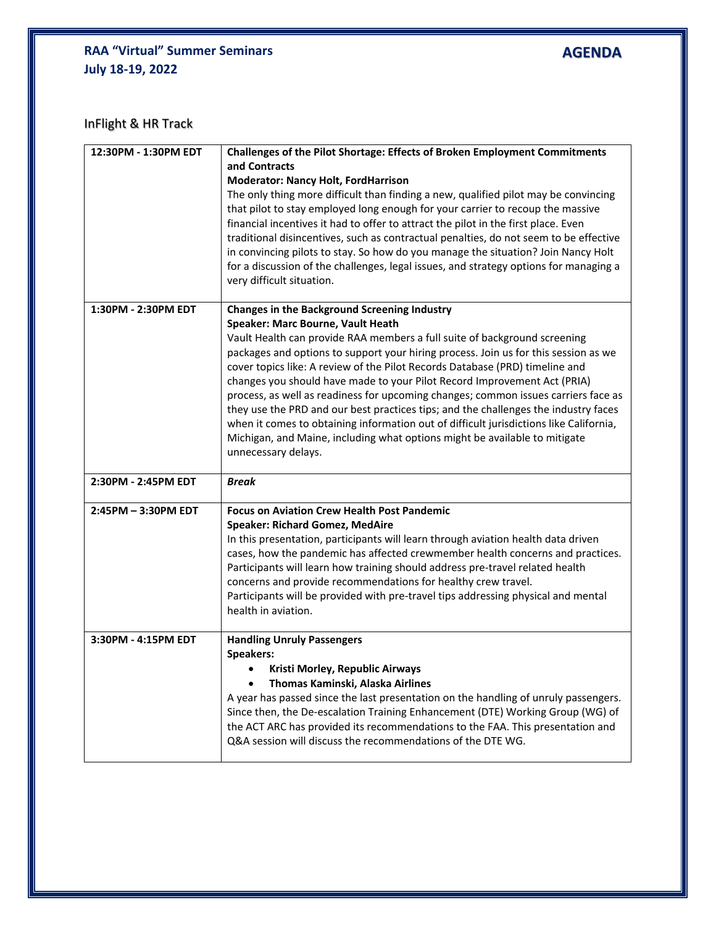### **RAA "Virtual" Summer Seminars July 18-19, 2022**

**AGENDA**

InFlight & HR Track

| 12:30PM - 1:30PM EDT | Challenges of the Pilot Shortage: Effects of Broken Employment Commitments<br>and Contracts<br><b>Moderator: Nancy Holt, FordHarrison</b><br>The only thing more difficult than finding a new, qualified pilot may be convincing<br>that pilot to stay employed long enough for your carrier to recoup the massive<br>financial incentives it had to offer to attract the pilot in the first place. Even<br>traditional disincentives, such as contractual penalties, do not seem to be effective<br>in convincing pilots to stay. So how do you manage the situation? Join Nancy Holt<br>for a discussion of the challenges, legal issues, and strategy options for managing a<br>very difficult situation.                                                                                         |
|----------------------|------------------------------------------------------------------------------------------------------------------------------------------------------------------------------------------------------------------------------------------------------------------------------------------------------------------------------------------------------------------------------------------------------------------------------------------------------------------------------------------------------------------------------------------------------------------------------------------------------------------------------------------------------------------------------------------------------------------------------------------------------------------------------------------------------|
| 1:30PM - 2:30PM EDT  | <b>Changes in the Background Screening Industry</b><br>Speaker: Marc Bourne, Vault Heath<br>Vault Health can provide RAA members a full suite of background screening<br>packages and options to support your hiring process. Join us for this session as we<br>cover topics like: A review of the Pilot Records Database (PRD) timeline and<br>changes you should have made to your Pilot Record Improvement Act (PRIA)<br>process, as well as readiness for upcoming changes; common issues carriers face as<br>they use the PRD and our best practices tips; and the challenges the industry faces<br>when it comes to obtaining information out of difficult jurisdictions like California,<br>Michigan, and Maine, including what options might be available to mitigate<br>unnecessary delays. |
| 2:30PM - 2:45PM EDT  | <b>Break</b>                                                                                                                                                                                                                                                                                                                                                                                                                                                                                                                                                                                                                                                                                                                                                                                         |
| 2:45PM - 3:30PM EDT  | <b>Focus on Aviation Crew Health Post Pandemic</b><br><b>Speaker: Richard Gomez, MedAire</b><br>In this presentation, participants will learn through aviation health data driven<br>cases, how the pandemic has affected crewmember health concerns and practices.<br>Participants will learn how training should address pre-travel related health<br>concerns and provide recommendations for healthy crew travel.<br>Participants will be provided with pre-travel tips addressing physical and mental<br>health in aviation.                                                                                                                                                                                                                                                                    |
| 3:30PM - 4:15PM EDT  | <b>Handling Unruly Passengers</b><br><b>Speakers:</b><br>Kristi Morley, Republic Airways<br>Thomas Kaminski, Alaska Airlines<br>A year has passed since the last presentation on the handling of unruly passengers.<br>Since then, the De-escalation Training Enhancement (DTE) Working Group (WG) of<br>the ACT ARC has provided its recommendations to the FAA. This presentation and<br>Q&A session will discuss the recommendations of the DTE WG.                                                                                                                                                                                                                                                                                                                                               |